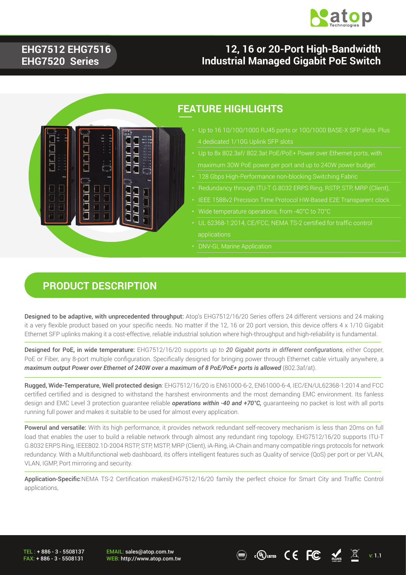

#### **EHG7512 EHG7516 EHG7520 Series**

### **12, 16 or 20-Port High-Bandwidth Industrial Managed Gigabit PoE Switch**



#### **FEATURE HIGHLIGHTS**

- 4 dedicated 1/10G Uplink SFP slots
- 
- 
- 
- 
- 
- UL 62368-1:2014, CE/FCC, NEMA TS-2 certified for traffic control applications
- DNV-GL Marine Application

#### **PRODUCT DESCRIPTION**

Designed to be adaptive, with unprecedented throughput: Atop's EHG7512/16/20 Series offers 24 different versions and 24 making it a very flexible product based on your specific needs. No matter if the 12, 16 or 20 port version, this device offers 4 x 1/10 Gigabit Ethernet SFP uplinks making it a cost-effective, reliable industrial solution where high-throughput and high-reliability is fundamental.

Designed for PoE, in wide temperature: EHG7512/16/20 supports *up to 20 Gigabit ports in different configurations*, either Copper, PoE or Fiber, any 8-port multiple configuration. Specifically designed for bringing power through Ethernet cable virtually anywhere, a *maximum output Power over Ethernet of 240W over a maximum of 8 PoE/PoE+ ports is allowed (802.3af/at).* 

Rugged, Wide-Temperature, Well protected design: EHG7512/16/20 is EN61000-6-2, EN61000-6-4, IEC/EN/UL62368-1:2014 and FCC certified certified and is designed to withstand the harshest environments and the most demanding EMC environment. Its fanless design and EMC Level 3 protection guarantee reliable *operations within -40 and +70°C,* guaranteeing no packet is lost with all ports running full power and makes it suitable to be used for almost every application.

Powerul and versatile: With its high performance, it provides network redundant self-recovery mechanism is less than 20ms on full load that enables the user to build a reliable network through almost any redundant ring topology. EHG7512/16/20 supports ITU-T G.8032 ERPS Ring, IEEE802.1D-2004 RSTP, STP, MSTP, MRP (Client), iA-Ring, iA-Chain and many compatible rings protocols for network redundancy. With a Multifunctional web dashboard, its offers intelligent features such as Quality of service (QoS) per port or per VLAN, VLAN, IGMP, Port mirroring and security.

Application-Specific:NEMA TS-2 Certification makesEHG7512/16/20 family the perfect choice for Smart City and Traffic Control applications,

TEL : + 886 - 3 - 5508137 FAX: + 886 - 3 - 5508131 EMAIL: sales@atop.com.tw

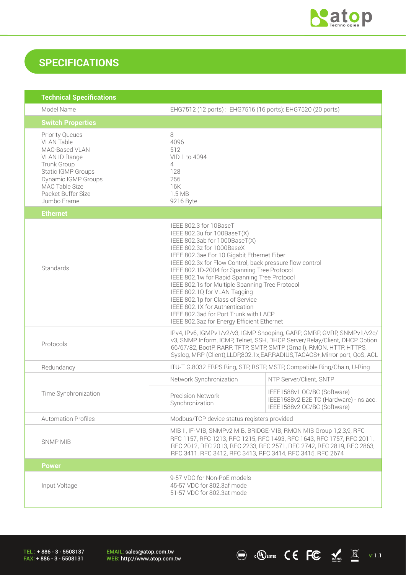

### **SPECIFICATIONS**

| <b>Technical Specifications</b>                                                                                                                                                                   |                                                                                                                                                                                                                                                                                                                                                                                                                                                                                                                                                                              |                                                                                                      |
|---------------------------------------------------------------------------------------------------------------------------------------------------------------------------------------------------|------------------------------------------------------------------------------------------------------------------------------------------------------------------------------------------------------------------------------------------------------------------------------------------------------------------------------------------------------------------------------------------------------------------------------------------------------------------------------------------------------------------------------------------------------------------------------|------------------------------------------------------------------------------------------------------|
| Model Name                                                                                                                                                                                        | EHG7512 (12 ports); EHG7516 (16 ports); EHG7520 (20 ports)                                                                                                                                                                                                                                                                                                                                                                                                                                                                                                                   |                                                                                                      |
| <b>Switch Properties</b>                                                                                                                                                                          |                                                                                                                                                                                                                                                                                                                                                                                                                                                                                                                                                                              |                                                                                                      |
| <b>Priority Queues</b><br><b>VLAN Table</b><br>MAC-Based VLAN<br>VLAN ID Range<br>Trunk Group<br>Static IGMP Groups<br>Dynamic IGMP Groups<br>MAC Table Size<br>Packet Buffer Size<br>Jumbo Frame | 8<br>4096<br>512<br>VID 1 to 4094<br>4<br>128<br>256<br>16K<br>1.5 MB<br>9216 Byte                                                                                                                                                                                                                                                                                                                                                                                                                                                                                           |                                                                                                      |
| <b>Ethernet</b>                                                                                                                                                                                   |                                                                                                                                                                                                                                                                                                                                                                                                                                                                                                                                                                              |                                                                                                      |
| Standards                                                                                                                                                                                         | IEEE 802.3 for 10BaseT<br>IEEE 802.3u for 100BaseT(X)<br>IEEE 802.3ab for 1000BaseT(X)<br>IEEE 802.3z for 1000BaseX<br>IEEE 802.3ae For 10 Gigabit Ethernet Fiber<br>IEEE 802.3x for Flow Control, back pressure flow control<br>IEEE 802.1D-2004 for Spanning Tree Protocol<br>IEEE 802.1w for Rapid Spanning Tree Protocol<br>IEEE 802.1s for Multiple Spanning Tree Protocol<br>IEEE 802.1Q for VLAN Tagging<br>IEEE 802.1p for Class of Service<br>IEEE 802.1X for Authentication<br>IEEE 802.3ad for Port Trunk with LACP<br>IEEE 802.3az for Energy Efficient Ethernet |                                                                                                      |
| Protocols                                                                                                                                                                                         | IPv4, IPv6, IGMPv1/v2/v3, IGMP Snooping, GARP, GMRP, GVRP, SNMPv1/v2c/<br>v3, SNMP Inform, ICMP, Telnet, SSH, DHCP Server/Relay/Client, DHCP Option<br>66/67/82, BootP, RARP, TFTP, SMTP, SMTP (Gmail), RMON, HTTP, HTTPS,<br>Syslog, MRP (Client), LLDP, 802.1x, EAP, RADIUS, TACACS+, Mirror port, QoS, ACL                                                                                                                                                                                                                                                                |                                                                                                      |
| Redundancy                                                                                                                                                                                        | ITU-T G.8032 ERPS Ring, STP, RSTP, MSTP, Compatible Ring/Chain, U-Ring                                                                                                                                                                                                                                                                                                                                                                                                                                                                                                       |                                                                                                      |
|                                                                                                                                                                                                   | Network Synchronization                                                                                                                                                                                                                                                                                                                                                                                                                                                                                                                                                      | NTP Server/Client, SNTP                                                                              |
| Time Synchronization                                                                                                                                                                              | <b>Precision Network</b><br>Synchronization                                                                                                                                                                                                                                                                                                                                                                                                                                                                                                                                  | IEEE1588v1 OC/BC (Software)<br>IEEE1588v2 E2E TC (Hardware) - ns acc.<br>IEEE1588v2 OC/BC (Software) |
| <b>Automation Profiles</b>                                                                                                                                                                        | Modbus/TCP device status registers provided                                                                                                                                                                                                                                                                                                                                                                                                                                                                                                                                  |                                                                                                      |
| <b>SNMP MIB</b>                                                                                                                                                                                   | MIB II, IF-MIB, SNMPv2 MIB, BRIDGE-MIB, RMON MIB Group 1,2,3,9, RFC<br>RFC 1157, RFC 1213, RFC 1215, RFC 1493, RFC 1643, RFC 1757, RFC 2011,<br>RFC 2012, RFC 2013, RFC 2233, RFC 2571, RFC 2742, RFC 2819, RFC 2863,<br>RFC 3411, RFC 3412, RFC 3413, RFC 3414, RFC 3415, RFC 2674                                                                                                                                                                                                                                                                                          |                                                                                                      |
| <b>Power</b>                                                                                                                                                                                      |                                                                                                                                                                                                                                                                                                                                                                                                                                                                                                                                                                              |                                                                                                      |
| Input Voltage                                                                                                                                                                                     | 9-57 VDC for Non-PoE models<br>45-57 VDC for 802.3af mode<br>51-57 VDC for 802.3at mode                                                                                                                                                                                                                                                                                                                                                                                                                                                                                      |                                                                                                      |

TEL : + 886 - 3 - 5508137 FAX: + 886 - 3 - 5508131

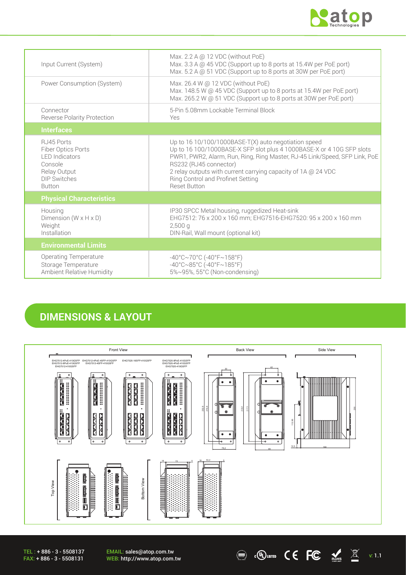

| Input Current (System)                                                                                                        | Max. 2.2 A @ 12 VDC (without PoE)<br>Max. 3.3 A @ 45 VDC (Support up to 8 ports at 15.4W per PoE port)<br>Max. 5.2 A @ 51 VDC (Support up to 8 ports at 30W per PoE port)                                                                                                                                                                                            |
|-------------------------------------------------------------------------------------------------------------------------------|----------------------------------------------------------------------------------------------------------------------------------------------------------------------------------------------------------------------------------------------------------------------------------------------------------------------------------------------------------------------|
| Power Consumption (System)                                                                                                    | Max. 26.4 W @ 12 VDC (without PoE)<br>Max. 148.5 W @ 45 VDC (Support up to 8 ports at 15.4W per PoE port)<br>Max. 265.2 W @ 51 VDC (Support up to 8 ports at 30W per PoE port)                                                                                                                                                                                       |
| Connector<br><b>Reverse Polarity Protection</b>                                                                               | 5-Pin 5.08mm Lockable Terminal Block<br>Yes                                                                                                                                                                                                                                                                                                                          |
| <b>Interfaces</b>                                                                                                             |                                                                                                                                                                                                                                                                                                                                                                      |
| RJ45 Ports<br>Fiber Optics Ports<br><b>I FD Indicators</b><br>Console<br>Relay Output<br><b>DIP Switches</b><br><b>Button</b> | Up to $1610/100/1000$ BASE-T(X) auto negotiation speed<br>Up to 16 100/1000BASE-X SFP slot plus 4 1000BASE-X or 4 10G SFP slots<br>PWR1, PWR2, Alarm, Run, Ring, Ring Master, RJ-45 Link/Speed, SFP Link, PoE<br>RS232 (RJ45 connector)<br>2 relay outputs with current carrying capacity of 1A @ 24 VDC<br>Ring Control and Profinet Setting<br><b>Reset Button</b> |
| <b>Physical Characteristics</b>                                                                                               |                                                                                                                                                                                                                                                                                                                                                                      |
| Housing<br>Dimension ( $W \times H \times D$ )<br>Weight<br>Installation                                                      | IP30 SPCC Metal housing, ruggedized Heat-sink<br>EHG7512: 76 x 200 x 160 mm; EHG7516-EHG7520: 95 x 200 x 160 mm<br>$2,500$ a<br>DIN-Rail, Wall mount (optional kit)                                                                                                                                                                                                  |
| <b>Environmental Limits</b>                                                                                                   |                                                                                                                                                                                                                                                                                                                                                                      |
| <b>Operating Temperature</b><br>Storage Temperature<br>Ambient Relative Humidity                                              | $-40^{\circ}$ C $\sim$ 70°C (-40°F $\sim$ 158°F)<br>$-40^{\circ}$ C $\sim$ 85°C (-40°F $\sim$ 185°F)<br>5%~95%, 55°C (Non-condensing)                                                                                                                                                                                                                                |

### **DIMENSIONS & LAYOUT**



 $\textcircled{\tiny{\textcircled{\tiny{H}}}}$  .  $\textcircled{\tiny{K}}$  atoms  $\textcircled{\tiny{K}}$   $\textcircled{\tiny{K}}$  v: 1.1

TEL : + 886 - 3 - 5508137 FAX: + 886 - 3 - 5508131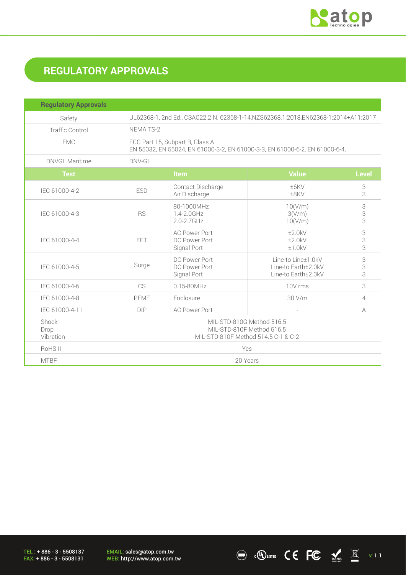

# **REGULATORY APPROVALS**

| <b>Regulatory Approvals</b> |                                                                                                                |                                                      |                                                                  |              |
|-----------------------------|----------------------------------------------------------------------------------------------------------------|------------------------------------------------------|------------------------------------------------------------------|--------------|
| Safety                      | UL62368-1, 2nd Ed., CSAC22.2 N. 62368-1-14, NZS62368.1:2018, EN62368-1:2014+A11:2017                           |                                                      |                                                                  |              |
| <b>Traffic Control</b>      | NEMA TS-2                                                                                                      |                                                      |                                                                  |              |
| <b>EMC</b>                  | FCC Part 15, Subpart B, Class A<br>EN 55032, EN 55024, EN 61000-3-2, EN 61000-3-3, EN 61000-6-2, EN 61000-6-4, |                                                      |                                                                  |              |
| <b>DNVGL Maritime</b>       | DNV-GL                                                                                                         |                                                      |                                                                  |              |
| <b>Test</b>                 |                                                                                                                | Item                                                 | <b>Value</b>                                                     | <b>Level</b> |
| IEC 61000-4-2               | <b>ESD</b>                                                                                                     | Contact Discharge<br>Air Discharge                   | ±6KV<br>±8KV                                                     | 3<br>3       |
| IEC 61000-4-3               | <b>RS</b>                                                                                                      | 80-1000MHz<br>1.4-2.0GHz<br>$2.0 - 2.7$ GHz          | 10(V/m)<br>3(V/m)<br>10(V/m)                                     | 3<br>3<br>3  |
| IEC 61000-4-4               | <b>EFT</b>                                                                                                     | <b>AC Power Port</b><br>DC Power Port<br>Signal Port | ±2.0kV<br>±2.0kV<br>±1.0kV                                       | 3<br>3<br>3  |
| IEC 61000-4-5               | Surge                                                                                                          | DC Power Port<br>DC Power Port<br>Signal Port        | Line-to Line±1.0kV<br>Line-to Earth±2.0kV<br>Line-to Earth±2.0kV | 3<br>3<br>3  |
| IEC 61000-4-6               | CS                                                                                                             | $0.15 - 80$ MHz                                      | 10V rms                                                          | 3            |
| IEC 61000-4-8               | PFMF                                                                                                           | Enclosure                                            | 30 V/m                                                           | 4            |
| IEC 61000-4-11              | <b>DIP</b>                                                                                                     | <b>AC Power Port</b>                                 |                                                                  | A            |
| Shock<br>Drop<br>Vibration  | MIL-STD-810G Method 516.5<br>MIL-STD-810F Method 516.5<br>MIL-STD-810F Method 514.5 C-1 & C-2                  |                                                      |                                                                  |              |
| RoHS II                     | Yes                                                                                                            |                                                      |                                                                  |              |
| <b>MTBF</b>                 | 20 Years                                                                                                       |                                                      |                                                                  |              |

TEL : + 886 - 3 - 5508137 FAX: + 886 - 3 - 5508131

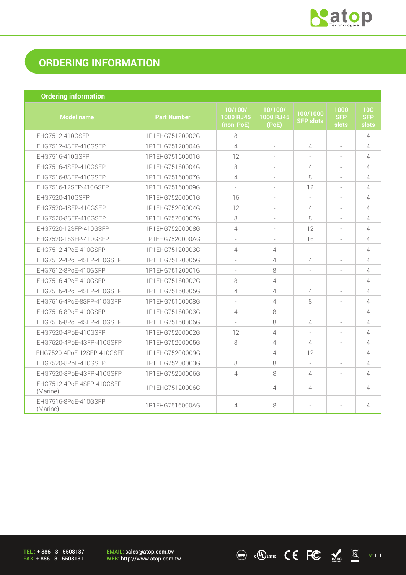

 $\overline{N}$  . (U) LISTED  $\overline{C}$   $\overline{C}$   $\overline{M}$   $\overline{M}$  v: 1.1

## **ORDERING INFORMATION**

| <b>Ordering information</b>           |                    |                                   |                               |                              |                             |                            |
|---------------------------------------|--------------------|-----------------------------------|-------------------------------|------------------------------|-----------------------------|----------------------------|
| <b>Model name</b>                     | <b>Part Number</b> | 10/100/<br>1000 RJ45<br>(non-PoE) | 10/100/<br>1000 RJ45<br>(PoE) | 100/1000<br><b>SFP slots</b> | 1000<br><b>SFP</b><br>slots | 10G<br><b>SFP</b><br>slots |
| EHG7512-410GSFP                       | 1P1EHG75120002G    | 8                                 | $\bar{\phantom{a}}$           | $\bar{a}$                    | $\bar{a}$                   | 4                          |
| EHG7512-4SFP-410GSFP                  | 1P1EHG75120004G    | $\overline{4}$                    |                               | $\overline{4}$               |                             | $\overline{4}$             |
| EHG7516-410GSFP                       | 1P1EHG75160001G    | 12                                |                               |                              |                             | $\overline{4}$             |
| EHG7516-4SFP-410GSFP                  | 1P1EHG75160004G    | 8                                 |                               | $\overline{4}$               |                             | 4                          |
| EHG7516-8SFP-410GSFP                  | 1P1EHG75160007G    | 4                                 | $\sim$                        | 8                            | $\sim$                      | $\overline{4}$             |
| EHG7516-12SFP-410GSFP                 | 1P1EHG75160009G    | $\overline{\phantom{a}}$          | $\equiv$                      | 12                           | $\overline{\phantom{a}}$    | $\overline{4}$             |
| EHG7520-410GSFP                       | 1P1EHG75200001G    | 16                                |                               |                              |                             | $\overline{4}$             |
| EHG7520-4SFP-410GSFP                  | 1P1EHG75200004G    | 12                                | ÷,                            | $\overline{4}$               |                             | $\overline{4}$             |
| EHG7520-8SFP-410GSFP                  | 1P1EHG75200007G    | 8                                 | ÷                             | 8                            |                             | 4                          |
| EHG7520-12SFP-410GSFP                 | 1P1EHG75200008G    | 4                                 | ÷                             | 12                           | $\sim$                      | $\overline{4}$             |
| EHG7520-16SFP-410GSFP                 | 1P1EHG7520000AG    | $\sim$                            | $\sim$                        | 16                           | $\sim$                      | 4                          |
| EHG7512-4PoE-410GSFP                  | 1P1EHG75120003G    | 4                                 | $\overline{4}$                |                              |                             | $\overline{4}$             |
| EHG7512-4PoE-4SFP-410GSFP             | 1P1EHG75120005G    | $\overline{\phantom{a}}$          | $\overline{4}$                | $\overline{4}$               | $\overline{\phantom{a}}$    | 4                          |
| EHG7512-8PoE-410GSFP                  | 1P1EHG75120001G    | $\sim$                            | 8                             |                              |                             | 4                          |
| EHG7516-4PoE-410GSFP                  | 1P1EHG75160002G    | 8                                 | 4                             |                              |                             | $\overline{4}$             |
| EHG7516-4PoE-4SFP-410GSFP             | 1P1EHG75160005G    | 4                                 | $\overline{4}$                | $\overline{4}$               | $\sim$                      | $\overline{4}$             |
| EHG7516-4PoE-8SFP-410GSFP             | 1P1EHG75160008G    | $\sim$                            | $\overline{4}$                | 8                            |                             | $\overline{4}$             |
| EHG7516-8PoE-410GSFP                  | 1P1EHG75160003G    | 4                                 | 8                             | $\overline{\phantom{a}}$     |                             | $\overline{4}$             |
| EHG7516-8PoE-4SFP-410GSFP             | 1P1EHG75160006G    |                                   | 8                             | $\overline{4}$               |                             | $\overline{4}$             |
| EHG7520-4PoE-410GSFP                  | 1P1EHG75200002G    | 12                                | $\overline{4}$                |                              | $\sim$                      | $\overline{4}$             |
| EHG7520-4PoE-4SFP-410GSFP             | 1P1EHG75200005G    | 8                                 | $\overline{4}$                | $\overline{4}$               | $\sim$                      | $\overline{4}$             |
| EHG7520-4PoE-12SFP-410GSFP            | 1P1EHG75200009G    | $\overline{\phantom{a}}$          | $\overline{4}$                | 12                           | $\overline{\phantom{a}}$    | $\overline{4}$             |
| EHG7520-8PoE-410GSFP                  | 1P1EHG75200003G    | 8                                 | 8                             | ÷.                           | $\sim$                      | 4                          |
| EHG7520-8PoE-4SFP-410GSFP             | 1P1EHG75200006G    | 4                                 | 8                             | $\overline{4}$               |                             | 4                          |
| EHG7512-4PoE-4SFP-410GSFP<br>(Marine) | 1P1EHG75120006G    | $\sim$                            | $\overline{4}$                | $\overline{4}$               |                             | 4                          |
| EHG7516-8PoE-410GSFP<br>(Marine)      | 1P1EHG7516000AG    | $\overline{4}$                    | 8                             | ٠                            |                             | 4                          |

TEL : + 886 - 3 - 5508137 FAX: + 886 - 3 - 5508131